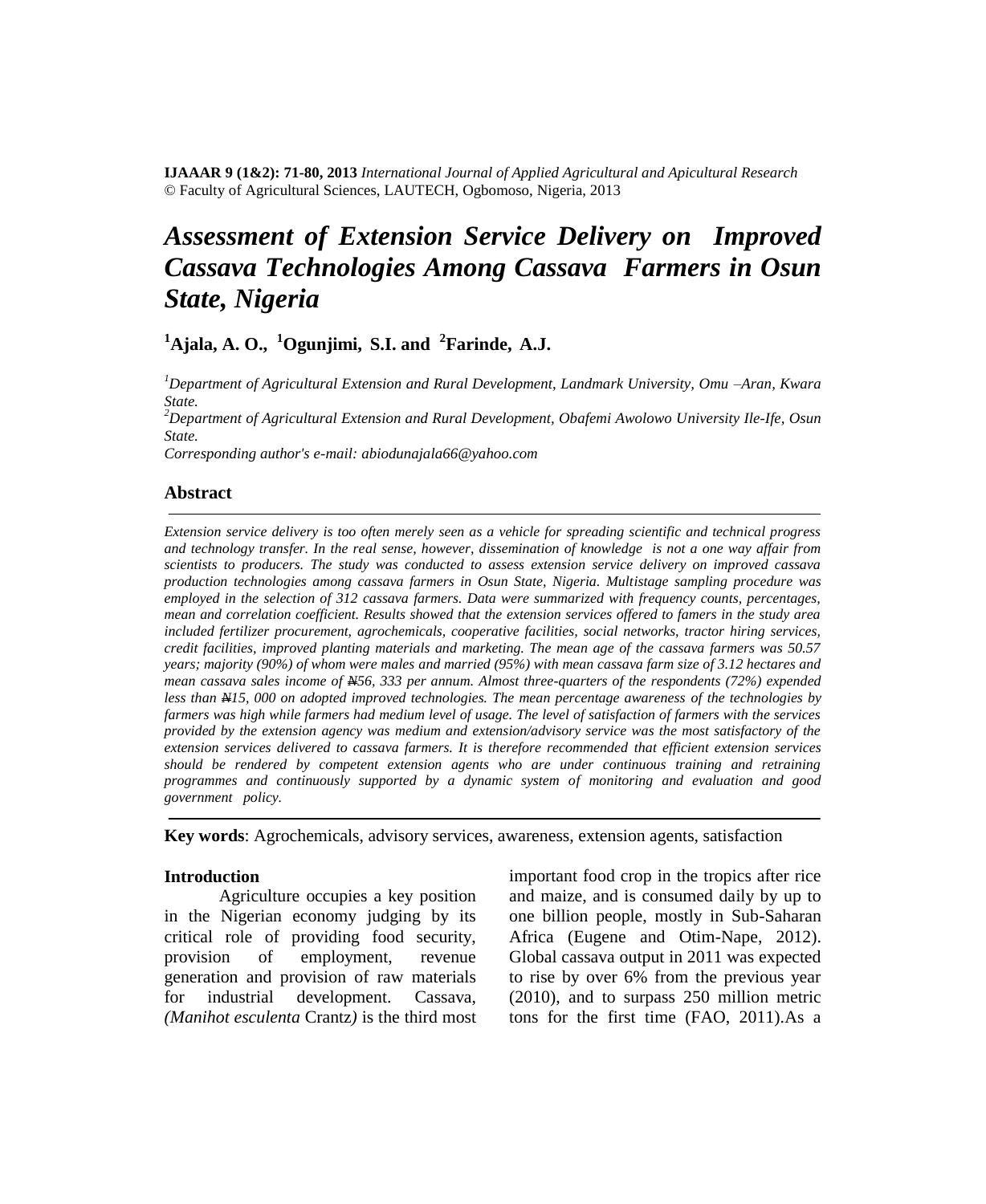**IJAAAR 9 (1&2): 71-80, 2013** *International Journal of Applied Agricultural and Apicultural Research* © Faculty of Agricultural Sciences, LAUTECH, Ogbomoso, Nigeria, 2013

# *Assessment of Extension Service Delivery on Improved Cassava Technologies Among Cassava Farmers in Osun State, Nigeria*

**<sup>1</sup>Ajala, A. O., <sup>1</sup>Ogunjimi, S.I. and <sup>2</sup> Farinde, A.J.**

*<sup>1</sup>Department of Agricultural Extension and Rural Development, Landmark University, Omu –Aran, Kwara State.*

*<sup>2</sup>Department of Agricultural Extension and Rural Development, Obafemi Awolowo University Ile-Ife, Osun State.*

*Corresponding author's e-mail: abiodunajala66@yahoo.com* 

## **Abstract**

*Extension service delivery is too often merely seen as a vehicle for spreading scientific and technical progress and technology transfer. In the real sense, however, dissemination of knowledge is not a one way affair from scientists to producers. The study was conducted to assess extension service delivery on improved cassava production technologies among cassava farmers in Osun State, Nigeria. Multistage sampling procedure was employed in the selection of 312 cassava farmers. Data were summarized with frequency counts, percentages, mean and correlation coefficient. Results showed that the extension services offered to famers in the study area included fertilizer procurement, agrochemicals, cooperative facilities, social networks, tractor hiring services, credit facilities, improved planting materials and marketing. The mean age of the cassava farmers was 50.57 years; majority (90%) of whom were males and married (95%) with mean cassava farm size of 3.12 hectares and mean cassava sales income of N56, 333 per annum. Almost three-quarters of the respondents (72%) expended less than N15, 000 on adopted improved technologies. The mean percentage awareness of the technologies by farmers was high while farmers had medium level of usage. The level of satisfaction of farmers with the services provided by the extension agency was medium and extension/advisory service was the most satisfactory of the*  extension services delivered to cassava farmers. It is therefore recommended that efficient extension services *should be rendered by competent extension agents who are under continuous training and retraining programmes and continuously supported by a dynamic system of monitoring and evaluation and good government policy.*

**Key words**: Agrochemicals, advisory services, awareness, extension agents, satisfaction

## **Introduction**

Agriculture occupies a key position in the Nigerian economy judging by its critical role of providing food security, provision of employment, revenue generation and provision of raw materials for industrial development. Cassava, *(Manihot esculenta* Crantz*)* is the third most

important food crop in the tropics after rice and maize, and is consumed daily by up to one billion people, mostly in Sub-Saharan Africa (Eugene and Otim-Nape, 2012). Global cassava output in 2011 was expected to rise by over 6% from the previous year (2010), and to surpass 250 million metric tons for the first time (FAO, 2011).As a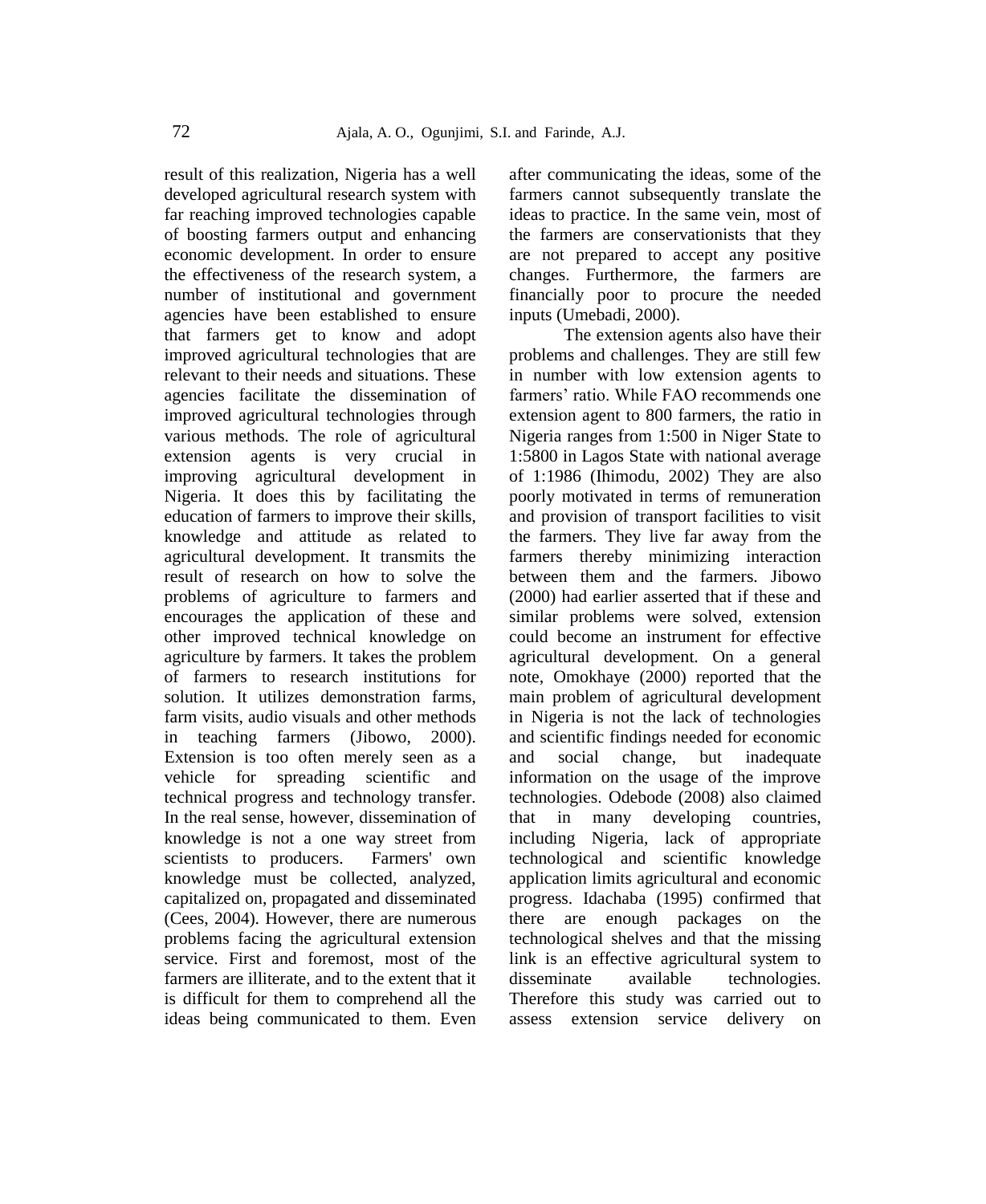result of this realization, Nigeria has a well developed agricultural research system with far reaching improved technologies capable of boosting farmers output and enhancing economic development. In order to ensure the effectiveness of the research system, a number of institutional and government agencies have been established to ensure that farmers get to know and adopt improved agricultural technologies that are relevant to their needs and situations. These agencies facilitate the dissemination of improved agricultural technologies through various methods. The role of agricultural extension agents is very crucial in improving agricultural development in Nigeria. It does this by facilitating the education of farmers to improve their skills, knowledge and attitude as related to agricultural development. It transmits the result of research on how to solve the problems of agriculture to farmers and encourages the application of these and other improved technical knowledge on agriculture by farmers. It takes the problem of farmers to research institutions for solution. It utilizes demonstration farms, farm visits, audio visuals and other methods in teaching farmers (Jibowo, 2000). Extension is too often merely seen as a vehicle for spreading scientific and technical progress and technology transfer. In the real sense, however, dissemination of knowledge is not a one way street from scientists to producers. Farmers' own knowledge must be collected, analyzed, capitalized on, propagated and disseminated (Cees, 2004). However, there are numerous problems facing the agricultural extension service. First and foremost, most of the farmers are illiterate, and to the extent that it is difficult for them to comprehend all the ideas being communicated to them. Even after communicating the ideas, some of the farmers cannot subsequently translate the ideas to practice. In the same vein, most of the farmers are conservationists that they are not prepared to accept any positive changes. Furthermore, the farmers are financially poor to procure the needed inputs (Umebadi, 2000).

The extension agents also have their problems and challenges. They are still few in number with low extension agents to farmers' ratio. While FAO recommends one extension agent to 800 farmers, the ratio in Nigeria ranges from 1:500 in Niger State to 1:5800 in Lagos State with national average of 1:1986 (Ihimodu, 2002) They are also poorly motivated in terms of remuneration and provision of transport facilities to visit the farmers. They live far away from the farmers thereby minimizing interaction between them and the farmers. Jibowo (2000) had earlier asserted that if these and similar problems were solved, extension could become an instrument for effective agricultural development. On a general note, Omokhaye (2000) reported that the main problem of agricultural development in Nigeria is not the lack of technologies and scientific findings needed for economic and social change, but inadequate information on the usage of the improve technologies. Odebode (2008) also claimed that in many developing countries, including Nigeria, lack of appropriate technological and scientific knowledge application limits agricultural and economic progress. Idachaba (1995) confirmed that there are enough packages on the technological shelves and that the missing link is an effective agricultural system to disseminate available technologies. Therefore this study was carried out to assess extension service delivery on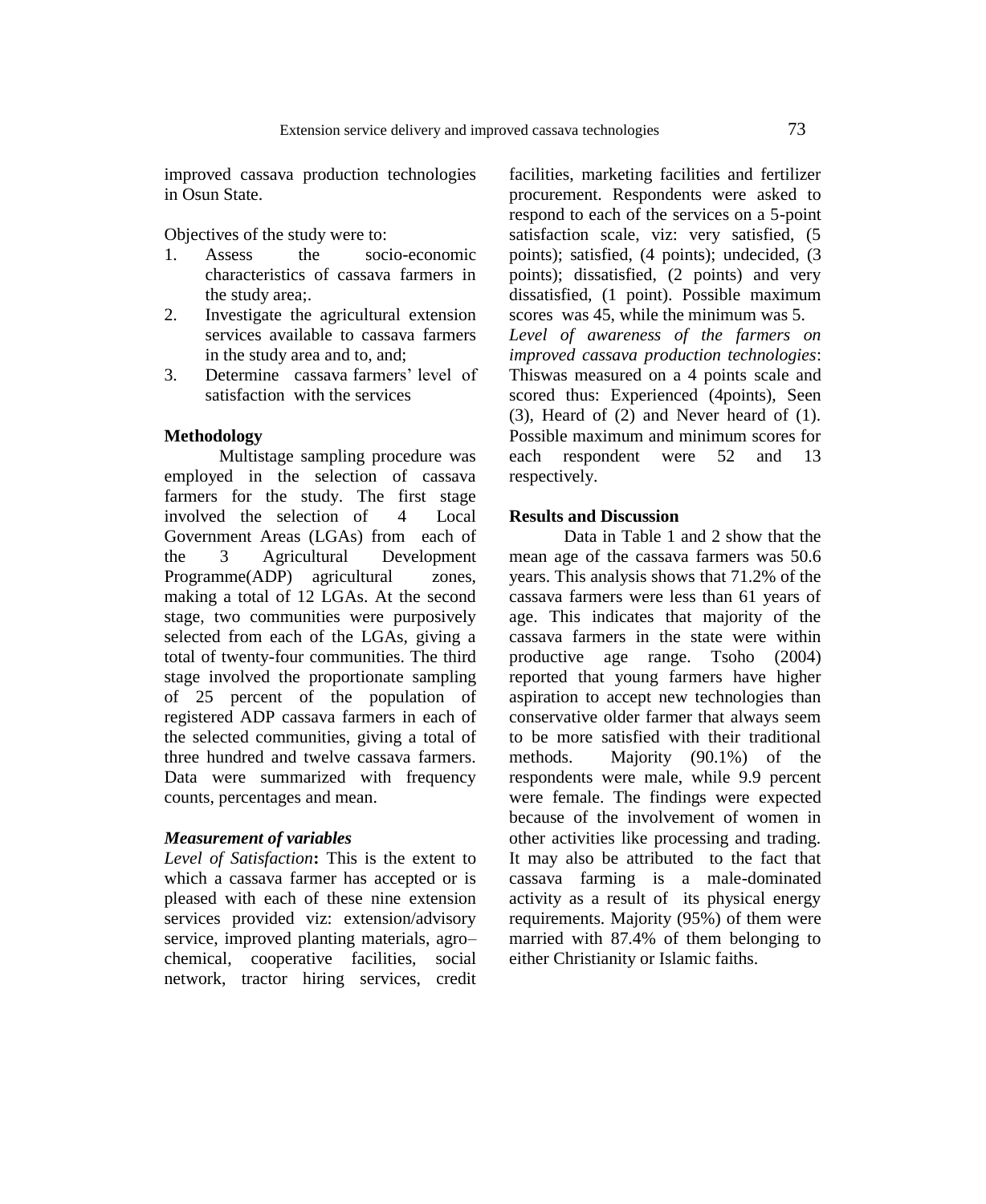improved cassava production technologies in Osun State.

Objectives of the study were to:

- 1. Assess the socio-economic characteristics of cassava farmers in the study area;.
- 2. Investigate the agricultural extension services available to cassava farmers in the study area and to, and;
- 3. Determine cassava farmers' level of satisfaction with the services

#### **Methodology**

Multistage sampling procedure was employed in the selection of cassava farmers for the study. The first stage involved the selection of 4 Local Government Areas (LGAs) from each of the 3 Agricultural Development Programme(ADP) agricultural zones, making a total of 12 LGAs. At the second stage, two communities were purposively selected from each of the LGAs, giving a total of twenty-four communities. The third stage involved the proportionate sampling of 25 percent of the population of registered ADP cassava farmers in each of the selected communities, giving a total of three hundred and twelve cassava farmers. Data were summarized with frequency counts, percentages and mean.

#### *Measurement of variables*

*Level of Satisfaction***:** This is the extent to which a cassava farmer has accepted or is pleased with each of these nine extension services provided viz: extension/advisory service, improved planting materials, agro– chemical, cooperative facilities, social network, tractor hiring services, credit facilities, marketing facilities and fertilizer procurement. Respondents were asked to respond to each of the services on a 5-point satisfaction scale, viz: very satisfied, (5 points); satisfied, (4 points); undecided, (3 points); dissatisfied, (2 points) and very dissatisfied, (1 point). Possible maximum scores was 45, while the minimum was 5. *Level of awareness of the farmers on improved cassava production technologies*: Thiswas measured on a 4 points scale and scored thus: Experienced (4points), Seen (3), Heard of (2) and Never heard of (1). Possible maximum and minimum scores for each respondent were 52 and 13 respectively.

#### **Results and Discussion**

Data in Table 1 and 2 show that the mean age of the cassava farmers was 50.6 years. This analysis shows that 71.2% of the cassava farmers were less than 61 years of age. This indicates that majority of the cassava farmers in the state were within productive age range. Tsoho (2004) reported that young farmers have higher aspiration to accept new technologies than conservative older farmer that always seem to be more satisfied with their traditional methods. Majority (90.1%) of the respondents were male, while 9.9 percent were female. The findings were expected because of the involvement of women in other activities like processing and trading. It may also be attributed to the fact that cassava farming is a male-dominated activity as a result of its physical energy requirements. Majority (95%) of them were married with 87.4% of them belonging to either Christianity or Islamic faiths.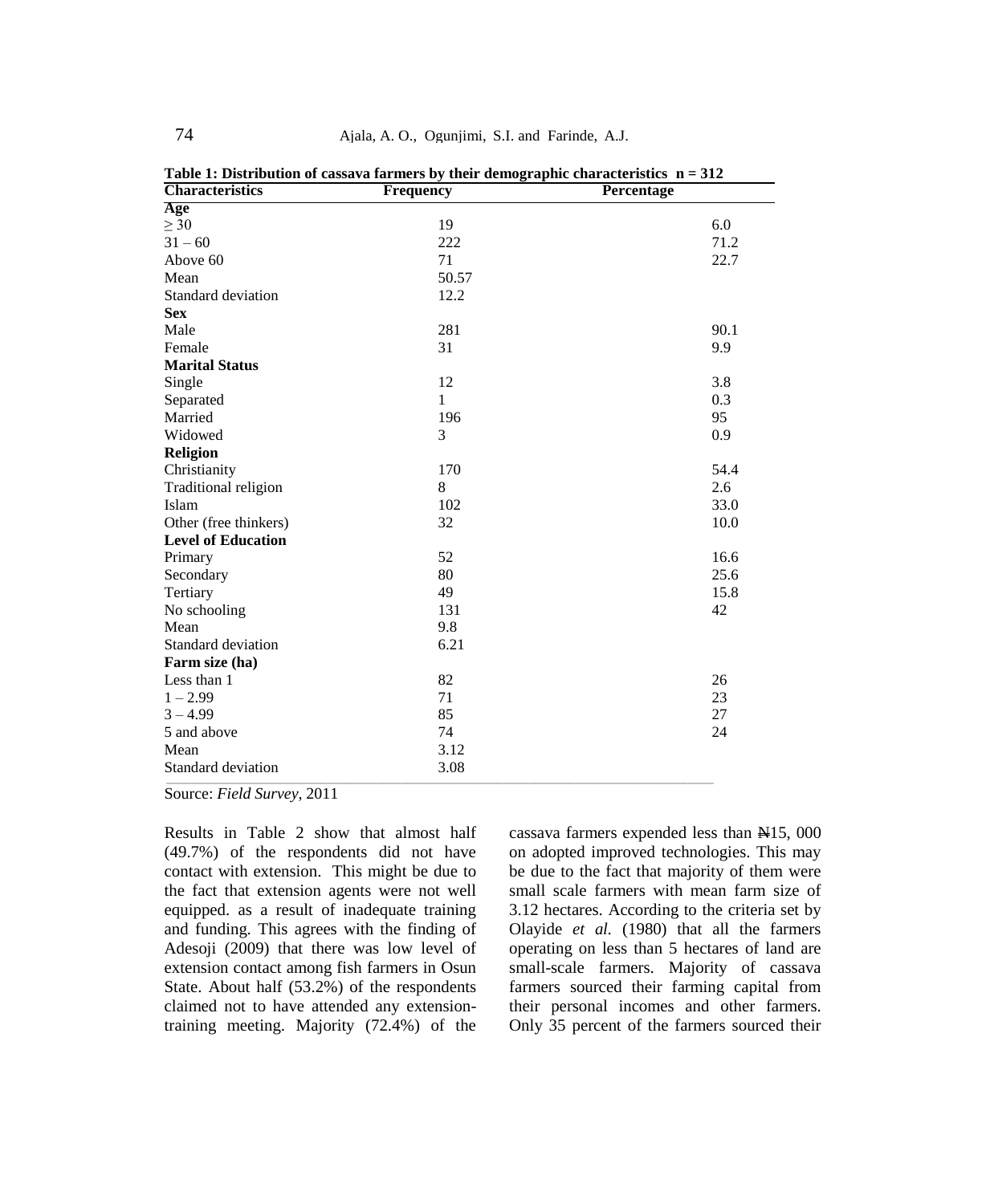| <b>Characteristics</b>    | Frequency    | Percentage |
|---------------------------|--------------|------------|
| Age                       |              |            |
| $\geq 30$                 | 19           | 6.0        |
| $31 - 60$                 | 222          | 71.2       |
| Above 60                  | 71           | 22.7       |
| Mean                      | 50.57        |            |
| Standard deviation        | 12.2         |            |
| <b>Sex</b>                |              |            |
| Male                      | 281          | 90.1       |
| Female                    | 31           | 9.9        |
| <b>Marital Status</b>     |              |            |
| Single                    | 12           | 3.8        |
| Separated                 | $\mathbf{1}$ | 0.3        |
| Married                   | 196          | 95         |
| Widowed                   | 3            | 0.9        |
| Religion                  |              |            |
| Christianity              | 170          | 54.4       |
| Traditional religion      | 8            | 2.6        |
| Islam                     | 102          | 33.0       |
| Other (free thinkers)     | 32           | 10.0       |
| <b>Level of Education</b> |              |            |
| Primary                   | 52           | 16.6       |
| Secondary                 | 80           | 25.6       |
| Tertiary                  | 49           | 15.8       |
| No schooling              | 131          | 42         |
| Mean                      | 9.8          |            |
| Standard deviation        | 6.21         |            |
| Farm size (ha)            |              |            |
| Less than 1               | 82           | 26         |
| $1 - 2.99$                | 71           | 23         |
| $3 - 4.99$                | 85           | 27         |
| 5 and above               | 74           | 24         |
| Mean                      | 3.12         |            |
| Standard deviation        | 3.08         |            |

**Table 1: Distribution of cassava farmers by their demographic characteristics n = 312**

Source: *Field Survey*, 2011

Results in Table 2 show that almost half (49.7%) of the respondents did not have contact with extension. This might be due to the fact that extension agents were not well equipped. as a result of inadequate training and funding. This agrees with the finding of Adesoji (2009) that there was low level of extension contact among fish farmers in Osun State. About half (53.2%) of the respondents claimed not to have attended any extensiontraining meeting. Majority (72.4%) of the

cassava farmers expended less than  $\frac{1}{2}$  15, 000 on adopted improved technologies. This may be due to the fact that majority of them were small scale farmers with mean farm size of 3.12 hectares. According to the criteria set by Olayide *et al.* (1980) that all the farmers operating on less than 5 hectares of land are small-scale farmers. Majority of cassava farmers sourced their farming capital from their personal incomes and other farmers. Only 35 percent of the farmers sourced their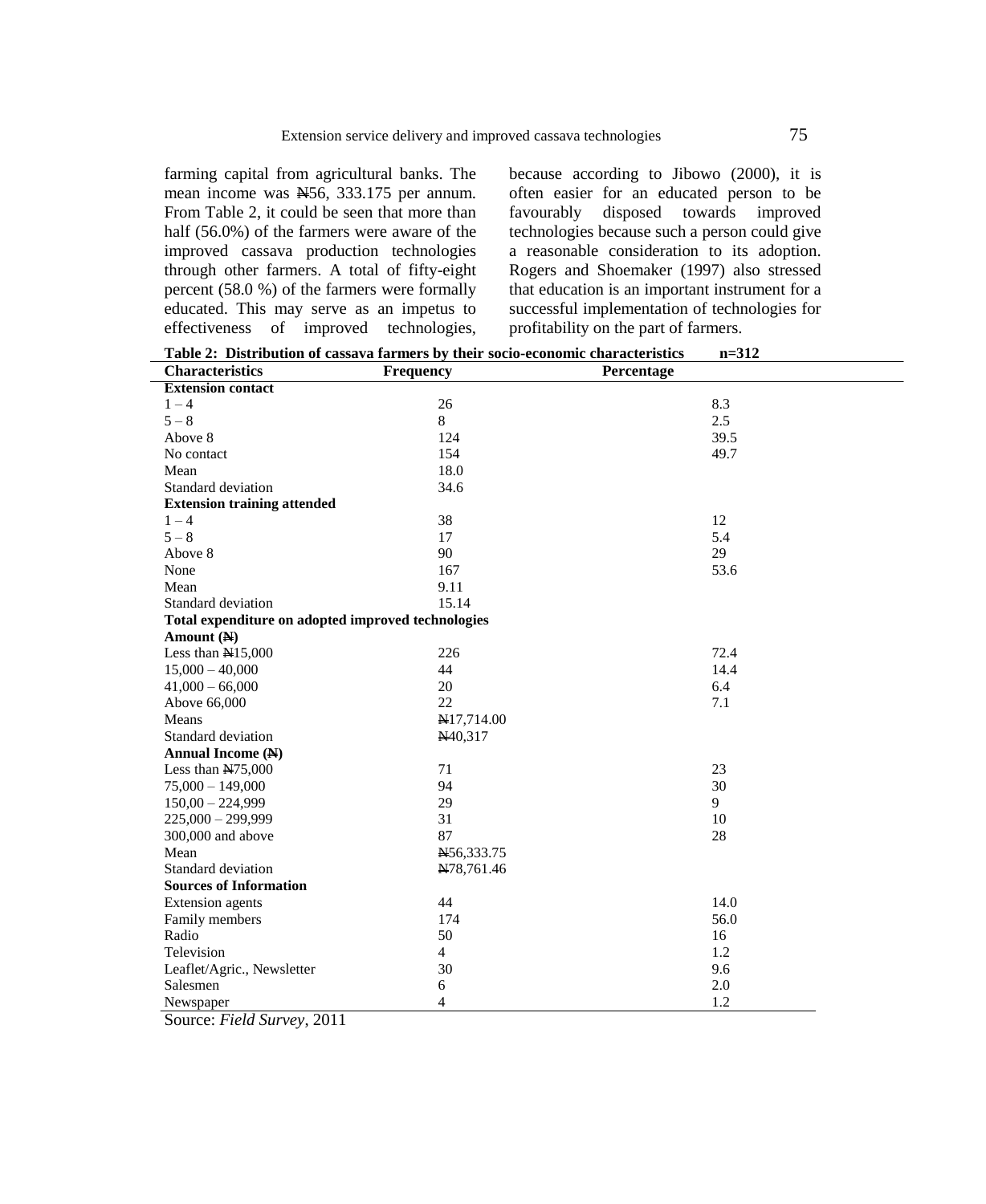farming capital from agricultural banks. The mean income was  $\overline{M56}$ , 333.175 per annum. From Table 2, it could be seen that more than half (56.0%) of the farmers were aware of the improved cassava production technologies through other farmers. A total of fifty-eight percent (58.0 %) of the farmers were formally educated. This may serve as an impetus to effectiveness of improved technologies, because according to Jibowo (2000), it is often easier for an educated person to be favourably disposed towards improved technologies because such a person could give a reasonable consideration to its adoption. Rogers and Shoemaker (1997) also stressed that education is an important instrument for a successful implementation of technologies for profitability on the part of farmers.

| Table 2: Distribution of cassava farmers by their socio-economic characteristics<br>$n = 312$ |                  |            |      |
|-----------------------------------------------------------------------------------------------|------------------|------------|------|
| <b>Characteristics</b>                                                                        | <b>Frequency</b> | Percentage |      |
| <b>Extension contact</b>                                                                      |                  |            |      |
| $1 - 4$                                                                                       | 26               |            | 8.3  |
| $5 - 8$                                                                                       | 8                |            | 2.5  |
| Above 8                                                                                       | 124              |            | 39.5 |
| No contact                                                                                    | 154              |            | 49.7 |
| Mean                                                                                          | 18.0             |            |      |
| Standard deviation                                                                            | 34.6             |            |      |
| <b>Extension training attended</b>                                                            |                  |            |      |
| $1 - 4$                                                                                       | 38               |            | 12   |
| $5 - 8$                                                                                       | 17               |            | 5.4  |
| Above 8                                                                                       | 90               |            | 29   |
| None                                                                                          | 167              |            | 53.6 |
| Mean                                                                                          | 9.11             |            |      |
| Standard deviation                                                                            | 15.14            |            |      |
| Total expenditure on adopted improved technologies                                            |                  |            |      |
| Amount (N)                                                                                    |                  |            |      |
| Less than N15,000                                                                             | 226              |            | 72.4 |
| $15,000 - 40,000$                                                                             | 44               |            | 14.4 |
| $41,000 - 66,000$                                                                             | 20               |            | 6.4  |
| Above 66,000                                                                                  | 22               |            | 7.1  |
| Means                                                                                         | N17,714.00       |            |      |
| Standard deviation                                                                            | N40,317          |            |      |
| Annual Income (N)                                                                             |                  |            |      |
| Less than $N75,000$                                                                           | 71               |            | 23   |
| $75,000 - 149,000$                                                                            | 94               |            | 30   |
| $150,00 - 224,999$                                                                            | 29               |            | 9    |
| $225,000 - 299,999$                                                                           | 31               |            | 10   |
| 300,000 and above                                                                             | 87               |            | 28   |
| Mean                                                                                          | N56,333.75       |            |      |
| Standard deviation                                                                            | N78,761.46       |            |      |
| <b>Sources of Information</b>                                                                 |                  |            |      |
| Extension agents                                                                              | 44               |            | 14.0 |
| Family members                                                                                | 174              |            | 56.0 |
| Radio                                                                                         | 50               |            | 16   |
| Television                                                                                    | $\overline{4}$   |            | 1.2  |
| Leaflet/Agric., Newsletter                                                                    | 30               |            | 9.6  |
| Salesmen                                                                                      | 6                |            | 2.0  |
| Newspaper                                                                                     | $\overline{4}$   |            | 1.2  |

Source: *Field Survey*, 2011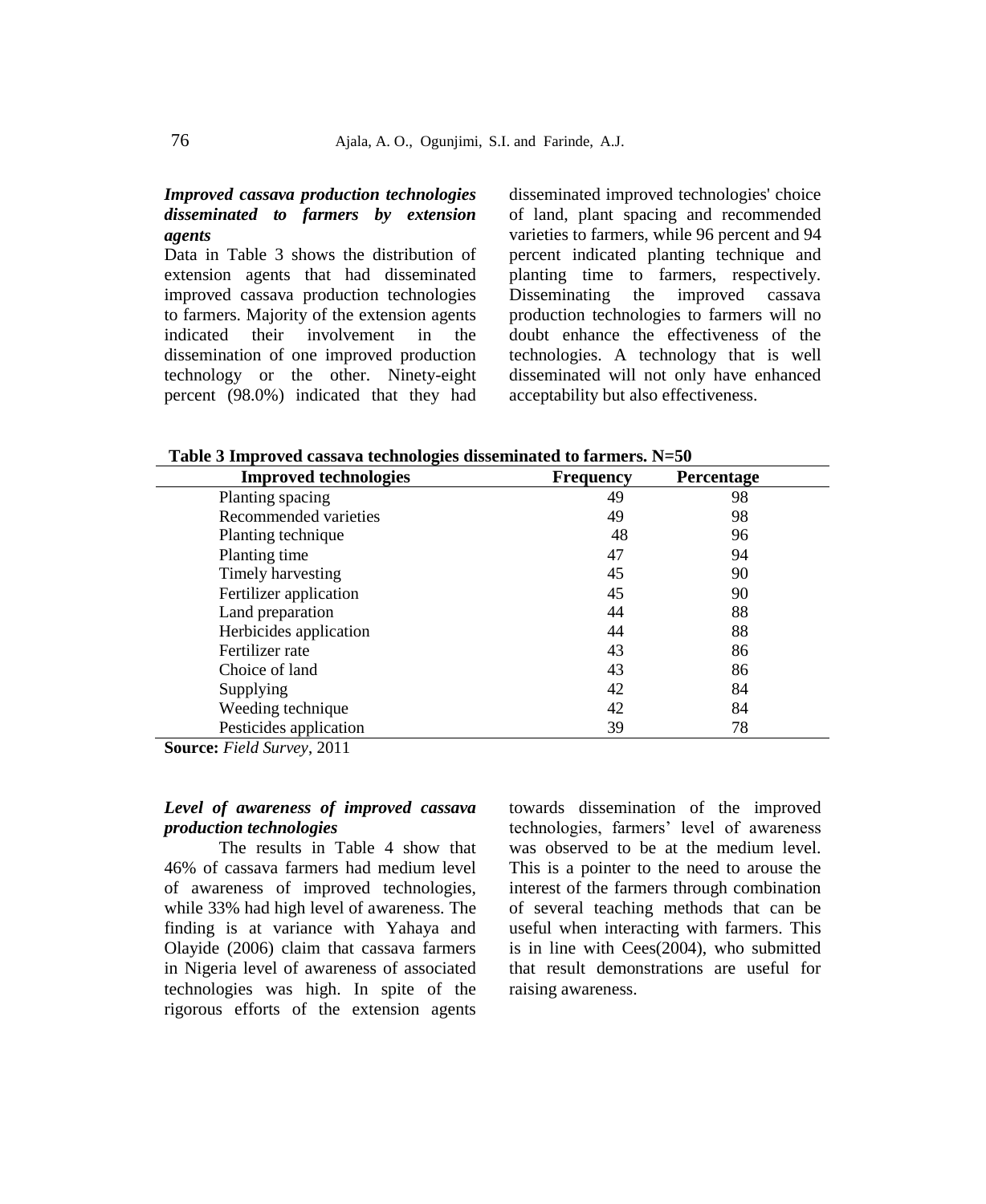## *Improved cassava production technologies disseminated to farmers by extension agents*

Data in Table 3 shows the distribution of extension agents that had disseminated improved cassava production technologies to farmers. Majority of the extension agents indicated their involvement in the dissemination of one improved production technology or the other. Ninety-eight percent (98.0%) indicated that they had disseminated improved technologies' choice of land, plant spacing and recommended varieties to farmers, while 96 percent and 94 percent indicated planting technique and planting time to farmers, respectively. Disseminating the improved cassava production technologies to farmers will no doubt enhance the effectiveness of the technologies. A technology that is well disseminated will not only have enhanced acceptability but also effectiveness.

**Table 3 Improved cassava technologies disseminated to farmers. N=50**

| <b>Improved technologies</b> | <b>Frequency</b> | Percentage |
|------------------------------|------------------|------------|
| Planting spacing             | 49               | 98         |
| Recommended varieties        | 49               | 98         |
| Planting technique           | 48               | 96         |
| Planting time                | 47               | 94         |
| Timely harvesting            | 45               | 90         |
| Fertilizer application       | 45               | 90         |
| Land preparation             | 44               | 88         |
| Herbicides application       | 44               | 88         |
| Fertilizer rate              | 43               | 86         |
| Choice of land               | 43               | 86         |
| Supplying                    | 42               | 84         |
| Weeding technique            | 42               | 84         |
| Pesticides application       | 39               | 78         |

**Source:** *Field Survey*, 2011

## *Level of awareness of improved cassava production technologies*

The results in Table 4 show that 46% of cassava farmers had medium level of awareness of improved technologies, while 33% had high level of awareness. The finding is at variance with Yahaya and Olayide (2006) claim that cassava farmers in Nigeria level of awareness of associated technologies was high. In spite of the rigorous efforts of the extension agents towards dissemination of the improved technologies, farmers' level of awareness was observed to be at the medium level. This is a pointer to the need to arouse the interest of the farmers through combination of several teaching methods that can be useful when interacting with farmers. This is in line with Cees(2004), who submitted that result demonstrations are useful for raising awareness.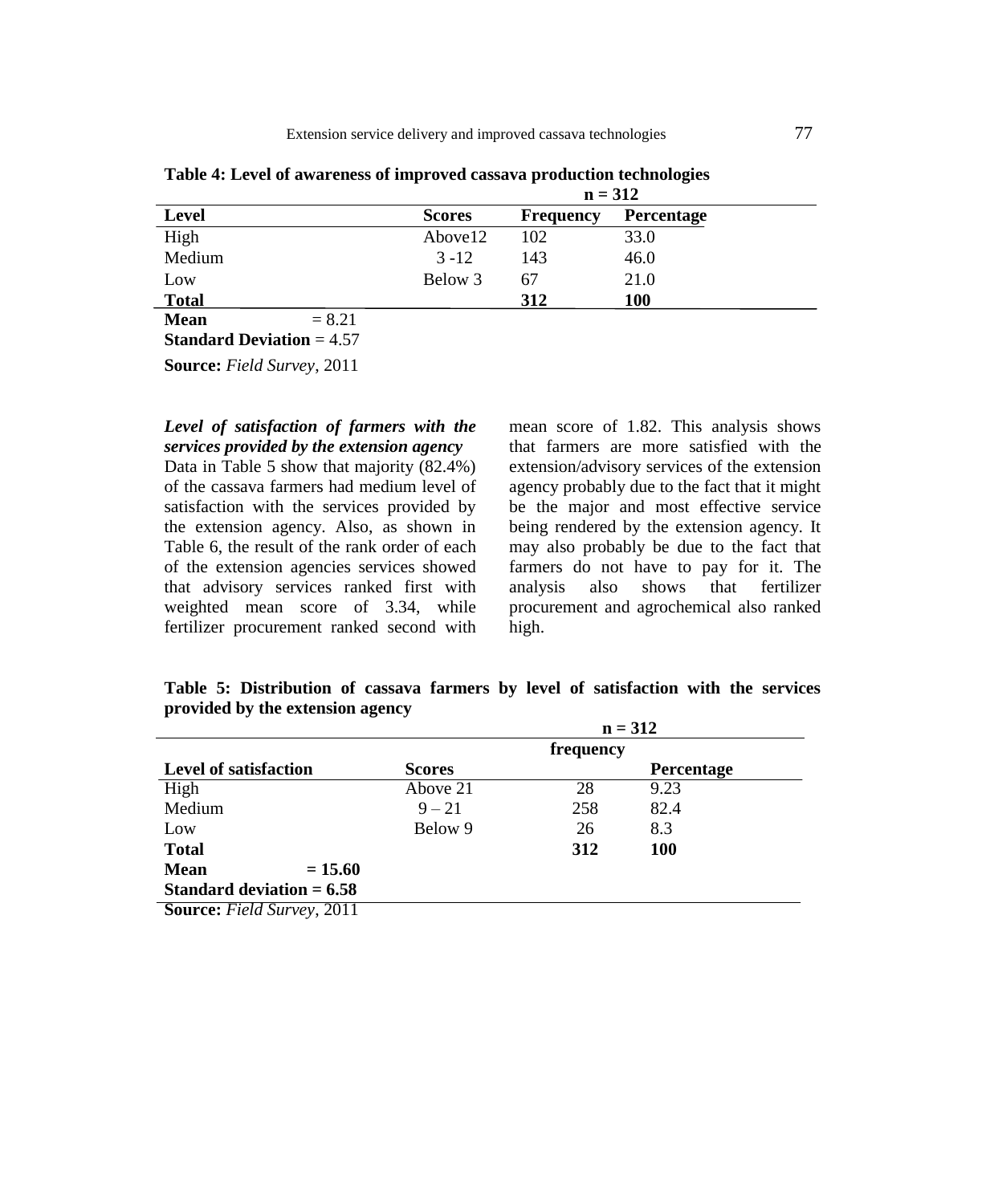|                                  | $n = 312$     |                  |                   |
|----------------------------------|---------------|------------------|-------------------|
| <b>Level</b>                     | <b>Scores</b> | <b>Frequency</b> | <b>Percentage</b> |
| High                             | Above12       | 102              | 33.0              |
| Medium                           | $3 - 12$      | 143              | 46.0              |
| Low                              | Below 3       | 67               | 21.0              |
| <b>Total</b>                     |               | 312              | <b>100</b>        |
| $= 8.21$<br><b>Mean</b>          |               |                  |                   |
| <b>Standard Deviation = 4.57</b> |               |                  |                   |

**Table 4: Level of awareness of improved cassava production technologies** 

**Source:** *Field Survey*, 2011

## *Level of satisfaction of farmers with the services provided by the extension agency*

Data in Table 5 show that majority (82.4%) of the cassava farmers had medium level of satisfaction with the services provided by the extension agency. Also, as shown in Table 6, the result of the rank order of each of the extension agencies services showed that advisory services ranked first with weighted mean score of 3.34, while fertilizer procurement ranked second with mean score of 1.82. This analysis shows that farmers are more satisfied with the extension/advisory services of the extension agency probably due to the fact that it might be the major and most effective service being rendered by the extension agency. It may also probably be due to the fact that farmers do not have to pay for it. The analysis also shows that fertilizer procurement and agrochemical also ranked high.

**Table 5: Distribution of cassava farmers by level of satisfaction with the services provided by the extension agency**

|                                         |               | $n = 312$ |                   |  |
|-----------------------------------------|---------------|-----------|-------------------|--|
|                                         |               | frequency |                   |  |
| <b>Level of satisfaction</b>            | <b>Scores</b> |           | <b>Percentage</b> |  |
| High                                    | Above 21      | 28        | 9.23              |  |
| Medium                                  | $9 - 21$      | 258       | 82.4              |  |
| Low                                     | Below 9       | 26        | 8.3               |  |
| <b>Total</b>                            |               | 312       | <b>100</b>        |  |
| <b>Mean</b><br>$= 15.60$                |               |           |                   |  |
| Standard deviation $= 6.58$             |               |           |                   |  |
| <b>Source:</b> <i>Field Survey</i> 2011 |               |           |                   |  |

**Source:** *Field Survey*, 2011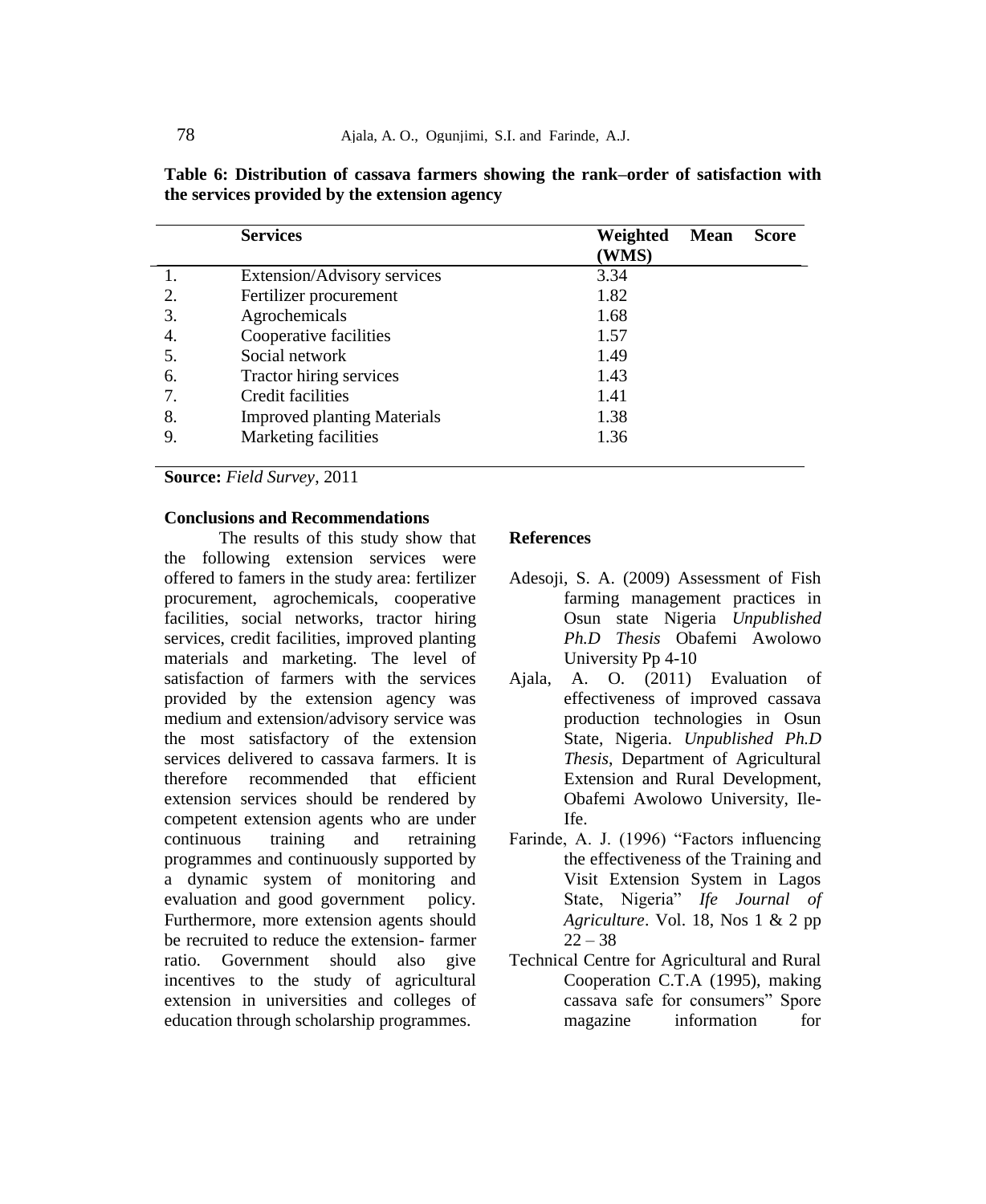|    | <b>Services</b>                    | Weighted | <b>Mean</b> | <b>Score</b> |
|----|------------------------------------|----------|-------------|--------------|
|    |                                    | (WMS)    |             |              |
|    | Extension/Advisory services        | 3.34     |             |              |
| 2. | Fertilizer procurement             | 1.82     |             |              |
| 3. | Agrochemicals                      | 1.68     |             |              |
| 4. | Cooperative facilities             | 1.57     |             |              |
|    | Social network                     | 1.49     |             |              |
| 6. | Tractor hiring services            | 1.43     |             |              |
| 7. | Credit facilities                  | 1.41     |             |              |
| 8. | <b>Improved planting Materials</b> | 1.38     |             |              |
| 9. | Marketing facilities               | 1.36     |             |              |
|    |                                    |          |             |              |

**Table 6: Distribution of cassava farmers showing the rank–order of satisfaction with the services provided by the extension agency**

**Source:** *Field Survey*, 2011

## **Conclusions and Recommendations**

The results of this study show that the following extension services were offered to famers in the study area: fertilizer procurement, agrochemicals, cooperative facilities, social networks, tractor hiring services, credit facilities, improved planting materials and marketing. The level of satisfaction of farmers with the services provided by the extension agency was medium and extension/advisory service was the most satisfactory of the extension services delivered to cassava farmers. It is therefore recommended that efficient extension services should be rendered by competent extension agents who are under continuous training and retraining programmes and continuously supported by a dynamic system of monitoring and evaluation and good government policy. Furthermore, more extension agents should be recruited to reduce the extension- farmer ratio. Government should also give incentives to the study of agricultural extension in universities and colleges of education through scholarship programmes.

#### **References**

- Adesoji, S. A. (2009) Assessment of Fish farming management practices in Osun state Nigeria *Unpublished Ph.D Thesis* Obafemi Awolowo University Pp 4-10
- Ajala, A. O. (2011) Evaluation of effectiveness of improved cassava production technologies in Osun State, Nigeria. *Unpublished Ph.D Thesis*, Department of Agricultural Extension and Rural Development, Obafemi Awolowo University, Ile-Ife.
- Farinde, A. J. (1996) "Factors influencing the effectiveness of the Training and Visit Extension System in Lagos State, Nigeria" *Ife Journal of Agriculture*. Vol. 18, Nos 1 & 2 pp  $22 - 38$
- Technical Centre for Agricultural and Rural Cooperation C.T.A (1995), making cassava safe for consumers" Spore magazine information for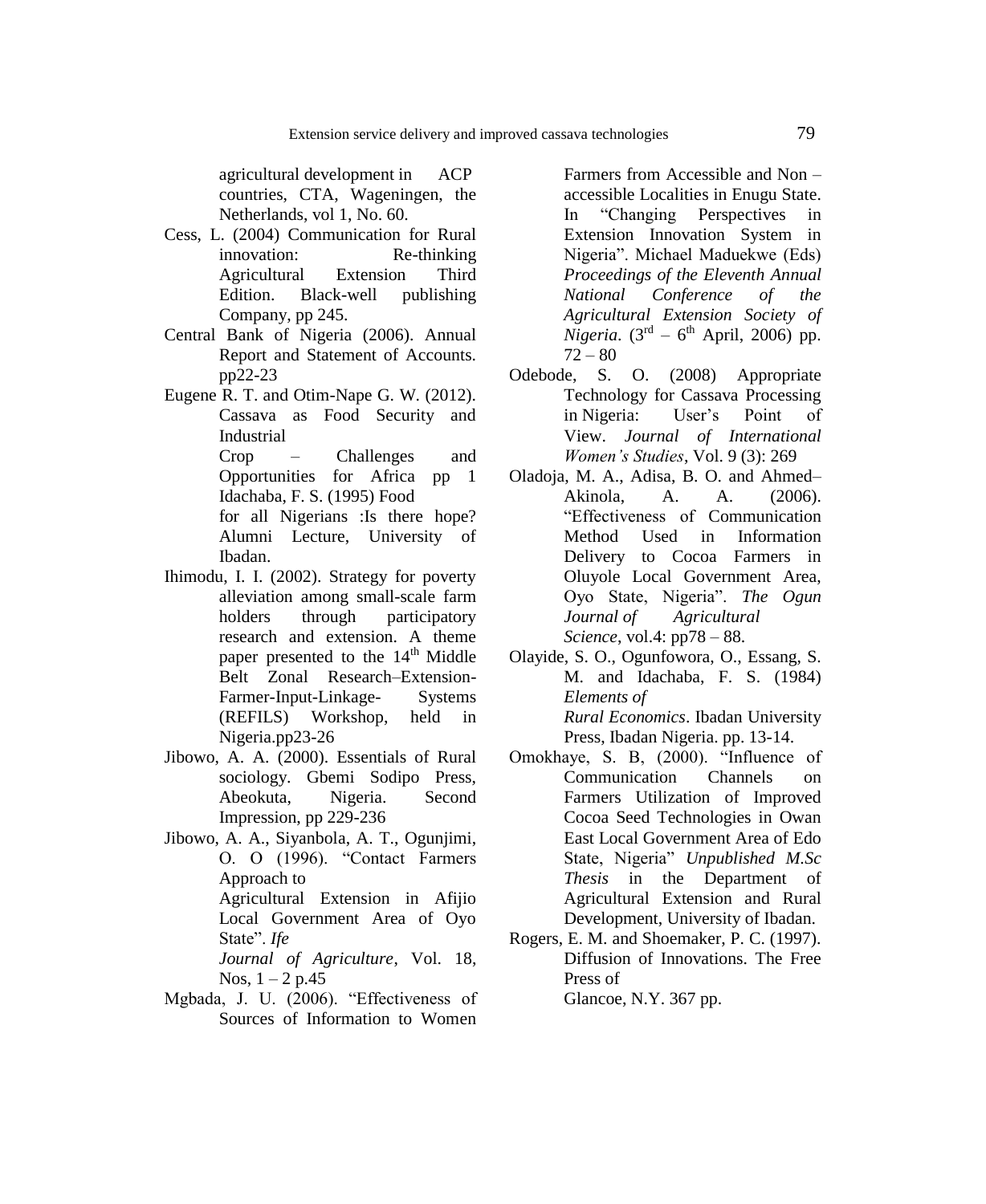agricultural development in ACP countries, CTA, Wageningen, the Netherlands, vol 1, No. 60.

- Cess, L. (2004) Communication for Rural innovation: Re-thinking Agricultural Extension Third Edition. Black-well publishing Company, pp 245.
- Central Bank of Nigeria (2006). Annual Report and Statement of Accounts. pp22-23
- Eugene R. T. and Otim-Nape G. W. (2012). Cassava as Food Security and Industrial Crop – Challenges and Opportunities for Africa pp 1 Idachaba, F. S. (1995) Food for all Nigerians :Is there hope? Alumni Lecture, University of Ibadan.
- Ihimodu, I. I. (2002). Strategy for poverty alleviation among small-scale farm holders through participatory research and extension. A theme paper presented to the  $14<sup>th</sup>$  Middle Belt Zonal Research–Extension-Farmer-Input-Linkage- Systems (REFILS) Workshop, held in Nigeria.pp23-26
- Jibowo, A. A. (2000). Essentials of Rural sociology. Gbemi Sodipo Press, Abeokuta, Nigeria. Second Impression, pp 229-236
- Jibowo, A. A., Siyanbola, A. T., Ogunjimi, O. O (1996). "Contact Farmers Approach to Agricultural Extension in Afijio Local Government Area of Oyo State". *Ife Journal of Agriculture*, Vol. 18, Nos,  $1 - 2 p.45$
- Mgbada, J. U. (2006). "Effectiveness of Sources of Information to Women

Farmers from Accessible and Non – accessible Localities in Enugu State. In "Changing Perspectives in Extension Innovation System in Nigeria". Michael Maduekwe (Eds) *Proceedings of the Eleventh Annual National Conference of the Agricultural Extension Society of Nigeria*.  $(3^{rd} - 6^{th}$  April, 2006) pp.  $72 - 80$ 

- Odebode, S. O. (2008) Appropriate Technology for Cassava Processing in Nigeria: User"s Point of View. *Journal of International Women's Studies*, Vol. 9 (3): 269
- Oladoja, M. A., Adisa, B. O. and Ahmed– Akinola, A. A. (2006). "Effectiveness of Communication Method Used in Information Delivery to Cocoa Farmers in Oluyole Local Government Area, Oyo State, Nigeria". *The Ogun Journal of Agricultural Science*, vol.4: pp78 – 88.
- Olayide, S. O., Ogunfowora, O., Essang, S. M. and Idachaba, F. S. (1984) *Elements of Rural Economics*. Ibadan University Press, Ibadan Nigeria. pp. 13-14.
- Omokhaye, S. B, (2000). "Influence of Communication Channels on Farmers Utilization of Improved Cocoa Seed Technologies in Owan East Local Government Area of Edo State, Nigeria" *Unpublished M.Sc Thesis* in the Department of Agricultural Extension and Rural Development, University of Ibadan.
- Rogers, E. M. and Shoemaker, P. C. (1997). Diffusion of Innovations. The Free Press of Glancoe, N.Y. 367 pp.